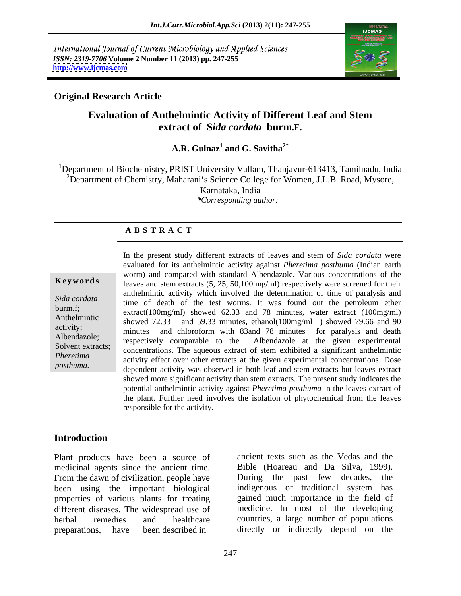International Journal of Current Microbiology and Applied Sciences *ISSN: 2319-7706* **Volume 2 Number 11 (2013) pp. 247-255 <http://www.ijcmas.com>**



### **Original Research Article**

# **Evaluation of Anthelmintic Activity of Different Leaf and Stem extract of S***ida cordata* **burm.F.**

### **A.R. Gulnaz<sup>1</sup> and G. Savitha**<sup> $2^*$ </sup>  **and G. Savitha2\***

<sup>1</sup>Department of Biochemistry, PRIST University Vallam, Thanjavur-613413, Tamilnadu, India <sup>2</sup>Department of Chemistry, Maharani's Science College for Women, J.L.B. Road, Mysore, Karnataka, India *\*Corresponding author:*

### **A B S T R A C T**

**Keywords** leaves and stem extracts (5, 25, 50,100 mg/ml) respectively were screened for their *Sida cordata* time of death of the test worms. It was found out the petroleum ether<br>burm.f; extract(100mg/ml) showed 62.33 and 78 minutes water extract (100mg/ml) Anthelmintic showed 72.33 and 59.33 minutes, ethanol(100mg/ml) showed 79.66 and 90  $\frac{\text{arativity}}{\text{minutes}}$  minutes and chloroform with 83 and 78 minutes for paralysis and death Albendazole;<br>
respectively comparable to the Albendazole at the given experimental Solvent extracts; concentrations. The aqueous extract of stem exhibited a significant anthelmintic *Pheretima* activity effect over other extracts at the given experimental concentrations. Dose posthuma.<br>
dependent activity was observed in both leaf and stem extracts but leaves extract In the present study different extracts of leaves and stem of *Sida cordata* were evaluated for its anthelmintic activity against *Pheretima posthuma* (Indian earth worm) and compared with standard Albendazole. Various concentrations of the anthelmintic activity which involved the determination of time of paralysis and extract(100mg/ml) showed 62.33 and 78 minutes, water extract (100mg/ml) showed more significant activity than stem extracts. The present study indicates the potential anthelmintic activity against *Pheretima posthuma* in the leaves extract of the plant. Further need involves the isolation of phytochemical from the leaves responsible for the activity.

### **Introduction**

Plant products have been a source of medicinal agents since the ancient time. From the dawn of civilization, people have During the past few decades, the been using the important biological properties of various plants for treating preparations, have been described in directly or indirectly depend on the

different diseases. The widespread use of medicine. In most of the developing herbal remedies and healthcare countries, a large number of populations ancient texts such as the Vedas and the Bible (Hoareau and Da Silva, 1999). During the past few decades, indigenous or traditional system has gained much importance in the field of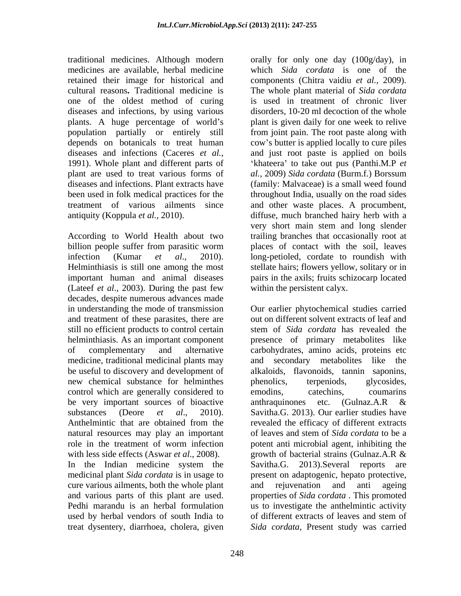one of the oldest method of curing diseases and infections, by using various plant are used to treat various forms of al., 2009) Sida cordata (Burm.f.) Borssum

According to World Health about two trailing branches that occasionally root at billion people suffer from parasitic worm places of contact with the soil, leaves infection (Kumar *et al*., 2010). long-petioled, cordate to roundish with Helminthiasis is still one among the most stellate hairs; flowers yellow, solitary or in important human and animal diseases (Lateef *et al*., 2003). During the past few decades, despite numerous advances made and treatment of these parasites, there are still no efficient products to control certain new chemical substance for helminthes phenolics, terpeniods, glycosides, control which are generally considered to emoding cate coumaring countrol which are generally considered to emoding cate and  $\alpha$ be very important sources of bioactive anthraquinones etc. (Gulnaz.A.R & natural resources may play an important cure various ailments, both the whole plant and rejuvenation and anti ageing used by herbal vendors of south India to

traditional medicines. Although modern orally for only one day (100g/day), in medicines are available, herbal medicine which *Sida cordata* is one of the retained their image for historical and components (Chitra vaidiu *et al.,* 2009). cultural reasons**.** Traditional medicine is The whole plant material of *Sida cordata* plants. A huge percentage of world's plant is given daily for one week to relive population partially or entirely still from joint pain. The root paste along with depends on botanicals to treat human cow's butter is applied locally to cure piles diseases and infections (Caceres *et al.,* and just root paste is applied on boils 1991). Whole plant and different parts of **the substant of the value of the State** out pus (Panthi.M.P *et* diseases and infections. Plant extracts have (family: Malvaceae) is a small weed found been used in folk medical practices for the throughout India, usually on the road sides treatment of various ailments since and other waste places. A procumbent, antiquity (Koppula *et al.,* 2010). diffuse, much branched hairy herb with a is used in treatment of chronic liver disorders, 10-20 ml decoction of the whole *al.,* 2009) *Sida cordata* (Burm.f.) Borssum very short main stem and long slender pairs in the axils; fruits schizocarp located within the persistent calyx.

in understanding the mode of transmission Our earlier phytochemical studies carried helminthiasis. As an important component presence of primary metabolites like of complementary and alternative carbohydrates, amino acids, proteins etc medicine, traditional medicinal plants may and secondary metabolites like the be useful to discovery and development of alkaloids, flavonoids, tannin saponins, substances (Deore *et al*., 2010). Savitha.G. 2013). Our earlier studies have Anthelmintic that are obtained from the revealed the efficacy of different extracts role in the treatment of worm infection potent anti microbial agent, inhibiting the with less side effects (Aswar *et al*., 2008). growth of bacterial strains (Gulnaz.A.R & In the Indian medicine system the Savitha.G. 2013). Several reports are medicinal plant *Sida cordata* is in usage to present on adaptogenic, hepato protective, and various parts of this plant are used. properties of *Sida cordata* . This promoted Pedhi marandu is an herbal formulation us to investigate the anthelmintic activity treat dysentery, diarrhoea, cholera, given *Sida cordata,* Present study was carriedout on different solvent extracts of leaf and stem of *Sida cordata* has revealed the phenolics, terpeniods, glycosides, emodins, catechins, coumarins anthraquinones etc. (Gulnaz.A.R & revealed the efficacy of different extracts of leaves and stem of *Sida cordata* to be a potent anti microbial agent, inhibiting the Savitha.G. 2013).Several reports are and rejuvenation and anti ageing of different extracts of leaves and stem of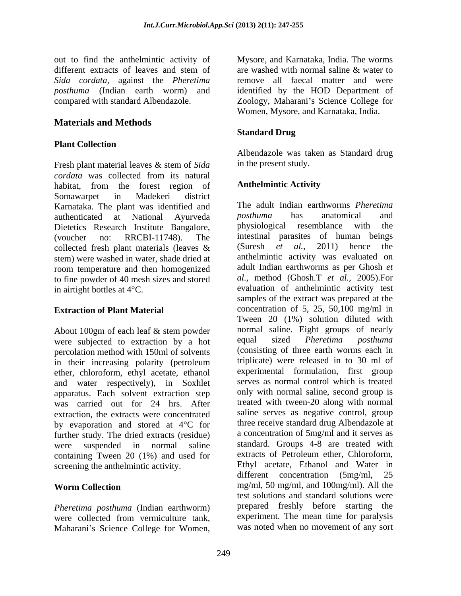out to find the anthelmintic activity of Mysore, and Karnataka, India. The worms *Sida cordata,* against the *Pheretima*

## **Materials and Methods**

### **Plant Collection**

Fresh plant material leaves & stem of *Sida cordata* was collected from its natural habitat, from the forest region of **Anthelmintic Activity** Somawarpet in Madekeri district Karnataka. The plant was identified and The adult Indian earthworms *Pheretima*<br>authenticated at National Ayurveda *posthuma* has anatomical and Dietetics Research Institute Bangalore, physiological resemblance with the stem) were washed in water, shade dried at room temperature and then homogenized to fine powder of 40 mesh sizes and stored

About 100gm of each leaf & stem powder<br>were subjected to extraction by a hot causal sized *Pheretima posthuma* were subjected to extraction by a hot percolation method with 150ml of solvents in their increasing polarity (petroleum ether, chloroform, ethyl acetate, ethanol and water respectively), in Soxhlet apparatus. Each solvent extraction step was carried out for 24 hrs. After extraction, the extracts were concentrated by evaporation and stored at 4°C for further study. The dried extracts (residue) containing Tween 20 (1%) and used for extracts of Petroleum ether, Chloroform,

*Pheretima posthuma* (Indian earthworm)

different extracts of leaves and stem of are washed with normal saline & water to *posthuma* (Indian earth worm) and identified by the HOD Department of compared with standard Albendazole. Zoology, Maharani s Science College for are washed with normal saline & water to remove all faecal matter and were Women, Mysore, and Karnataka, India.

### **Standard Drug**

Albendazole was taken as Standard drug in the present study.

## **Anthelmintic Activity**

authenticated at National Ayurveda *posthuma* has anatomical and (voucher no: RRCBI-11748). The intestinal parasites of human beings collected fresh plant materials (leaves  $\&$  (Suresh *et al.*, 2011) hence the in airtight bottles at 4<sup>°</sup>C. evaluation of anthelmintic activity test **Extraction of Plant Material** concentration of 5, 25, 50,100 mg/ml in were suspended in normal saline standard. Groups 4-8 are treated with screening the anthelmintic activity.<br>
Ethyl acetate, Ethanol and Water in<br>
different concentration (5mg/ml. 25 Worm Collection **mg/ml, 50 mg/ml, and 100mg/ml**). All the were collected from vermiculture tank, experiment. The mean time for paralysis on the fit the and<br>shortlends reactive of the worms and stamp of an washed with normal stame & water to<br>dide conden, agains the *Phoenixon* tendor of the college for the mean tendor of the state of the state of the state The adult Indian earthworms *Pheretima posthuma* has anatomical and physiological resemblance with the (Suresh *et al.*, 2011) hence the anthelmintic activity was evaluated on adult Indian earthworms as per Ghosh *et al.,* method (Ghosh.T *et al.,* 2005).For samples of the extract was prepared at the Tween 20 (1%) solution diluted with normal saline. Eight groups of nearly equal sized *Pheretima posthuma* (consisting of three earth worms each in triplicate) were released in to 30 ml of experimental formulation, first group serves as normal control which is treated only with normal saline, second group is treated with tween-20 along with normal saline serves as negative control, group three receive standard drug Albendazole at a concentration of 5mg/ml and it serves as extracts of Petroleum ether, Chloroform, Ethyl acetate, Ethanol and Water in different concentration (5mg/ml, test solutions and standard solutions were prepared freshly before starting the experiment. The mean time for paralysis was noted when no movement of any sort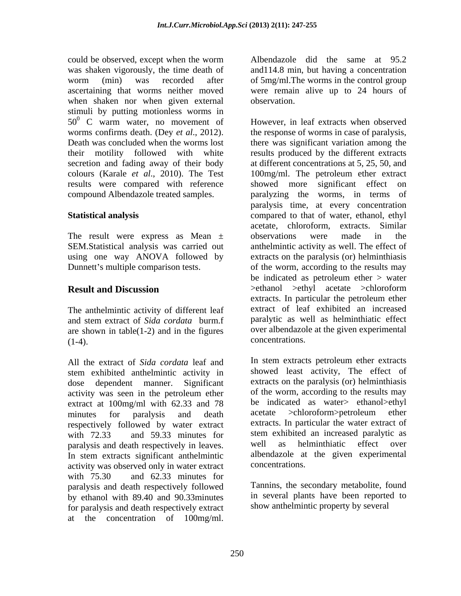could be observed, except when the worm Albendazole did the same at 95.2 was shaken vigorously, the time death of and114.8 min, but having a concentration worm (min) was recorded after of 5mg/ml.The worms in the control group ascertaining that worms neither moved were remain alive up to 24 hours of when shaken nor when given external observation. stimuli by putting motionless worms in  $50^0$  C warm water, no movement of results were compared with reference showed more significant effect on

The result were express as Mean  $\pm$  observations were made in the SEM.Statistical analysis was carried out

The anthelmintic activity of different leaf and stem extract of *Sida cordata* burm.f are shown in table(1-2) and in the figures over albendazol  $(1-4)$  concentrations.  $(1-4)$ . concentrations.

All the extract of *Sida cordata* leaf and stem exhibited anthelmintic activity in dose dependent manner. Significant extracts on the paralysis (or) helminthiasis activity was seen in the petroleum ether extract at 100mg/ml with 62.33 and 78 be indicated as water> ethanol>ethyl<br>minutes for paralysis and death acetate >chloroform>petroleum ether minutes for paralysis and death acetate >chloroform>petroleum ether respectively followed by water extract with 72.33 and 59.33 minutes for stem exhibited an increased paralytic as paralysis and death respectively in leaves. Well as helminthiatic effect over<br>In stem extracts significant anthelmintic albendazole at the given experimental activity was observed only in water extract with 75.30 and 62.33 minutes for paralysis and death respectively followed by ethanol with 89.40 and 90.33minutes in several plants have been reported<br>for paralysis and death respectively extract show anthelmintic property by several for paralysis and death respectively extract

observation.

worms confirms death. (Dey *et al*., 2012). the response of worms in case of paralysis, Death was concluded when the worms lost there was significant variation among the their motility followed with white results produced by the different extracts secretion and fading away of their body at different concentrations at 5, 25, 50, and colours (Karale *et al*., 2010). The Test 100mg/ml. The petroleum ether extract compound Albendazole treated samples. paralyzing the worms, in terms of **Statistical analysis** compared to that of water, ethanol, ethyl using one way ANOVA followed by extracts on the paralysis (or) helminthiasis Dunnett's multiple comparison tests.  $\qquad \qquad$  of the worm, according to the results may **Result and Discussion** could be downed to the concentration of Metadoxa did the same at 95.2<br>
was shaken vageously, the time deal of  $\alpha$  frame) and 148 min, but having a concentration<br>
was shaken vageously the time deal of  $\alpha$  frame) and the However, in leaf extracts when observed showed more significant effect on paralysis time, at every concentration acetate, chloroform, extracts. Similar observations were made in the anthelmintic activity as well. The effect of be indicated as petroleum ether > water >ethanol >ethyl acetate >chloroform extracts. In particular the petroleum ether extract of leaf exhibited an increased paralytic as well as helminthiatic effect over albendazole at the given experimental concentrations.

In stem extracts petroleum ether extracts showed least activity, The effect of of the worm, according to the results may be indicated as water> ethanol>ethyl acetate >chloroform>petroleum ether extracts. In particular the water extract of well as helminthiatic effect over albendazole at the given experimental concentrations.

Tannins, the secondary metabolite, found in several plants have been reported to show anthelmintic property by several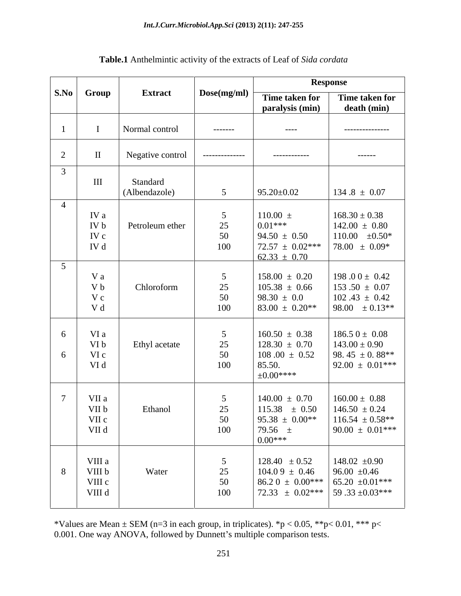|                |                                      | <b>Extract</b>            |                                   | <b>Response</b>                                                                          |                                                                                                                             |
|----------------|--------------------------------------|---------------------------|-----------------------------------|------------------------------------------------------------------------------------------|-----------------------------------------------------------------------------------------------------------------------------|
|                | S.No Group                           |                           | Dose(mg/ml)                       | Time taken for<br>paralysis (min)                                                        | Time taken for<br>death (min)                                                                                               |
|                |                                      | Normal control            | --------                          | $---$                                                                                    | ---------------                                                                                                             |
| $\gamma$<br>∠  | $\mathbf{I}$                         | Negative control          | --------------                    | ------------                                                                             | -------                                                                                                                     |
| $\overline{3}$ | $\rm III$                            | Standard<br>(Albendazole) | $5\overline{)}$                   | $95.20 \pm 0.02$                                                                         | $134.8 \pm 0.07$                                                                                                            |
| $\overline{4}$ | IV a<br>IV b<br>IV c<br>IV d         | Petroleum ether           | - 5<br>25<br>50<br>100            | $110.00 \pm$<br>$0.01***$<br>$94.50 \pm 0.50$<br>$72.57 \pm 0.02***$<br>$62.33 \pm 0.70$ | $168.30 \pm 0.38$<br>$142.00 \pm 0.80$<br>110.00 $\pm 0.50^*$<br>$78.00 \pm 0.09*$                                          |
| 5 <sup>5</sup> | V a<br>V b<br>Vc<br>V d              | Chloroform                | -5<br>25<br>50<br>100             | $158.00 \pm 0.20$<br>$105.38 \pm 0.66$<br>$98.30 \pm 0.0$<br>$83.00 \pm 0.20**$          | 198.00 $\pm$ 0.42<br>$153.50 \pm 0.07$<br>$102.43 \pm 0.42$<br>$98.00 \pm 0.13**$                                           |
| -6<br>-6       | VI a<br>VI b<br>VI c<br>VI d         | Ethyl acetate             | $\overline{5}$<br>25<br>50<br>100 | $160.50 \pm 0.38$<br>$128.30 \pm 0.70$<br>$108.00 \pm 0.52$<br>85.50.<br>$\pm 0.00***$   | $186.50 \pm 0.08$<br>$143.00 \pm 0.90$<br>98.45 $\pm$ 0.88**<br>$92.00 \pm 0.01***$                                         |
|                | VII a<br>VII b<br>VII c<br>VII d     | Ethanol                   | 5<br>25<br>50<br>100              | $140.00 \pm 0.70$<br>$115.38 \pm 0.50$<br>$95.38 \pm 0.00**$<br>79.56 $\pm$<br>$0.00***$ | $160.00 \pm 0.88$<br>$146.50 \pm 0.24$<br>$116.54 \pm 0.58***$<br>$90.00 \pm 0.01***$                                       |
| 8              | VIII a<br>VIII b<br>VIII c<br>VIII d | Water                     | -5<br>25<br>50<br>100             | $128.40 \pm 0.52$<br>$104.09 \pm 0.46$                                                   | 148.02 $\pm 0.90$<br>$96.00 \pm 0.46$<br>$86.20 \pm 0.00***$ 65.20 $\pm 0.01***$<br>72.33 $\pm$ 0.02*** 59.33 $\pm$ 0.03*** |

| Table.1 Anthelmintic activity of t<br>If the extracts of Leaf of Sida cordata |  |  |
|-------------------------------------------------------------------------------|--|--|
|-------------------------------------------------------------------------------|--|--|

\*Values are Mean  $\pm$  SEM (n=3 in each group, in triplicates). \*p < 0.05, \*\*p< 0.01, \*\*\* p< 0.001. One way ANOVA, followed by Dunnett's multiple comparison tests.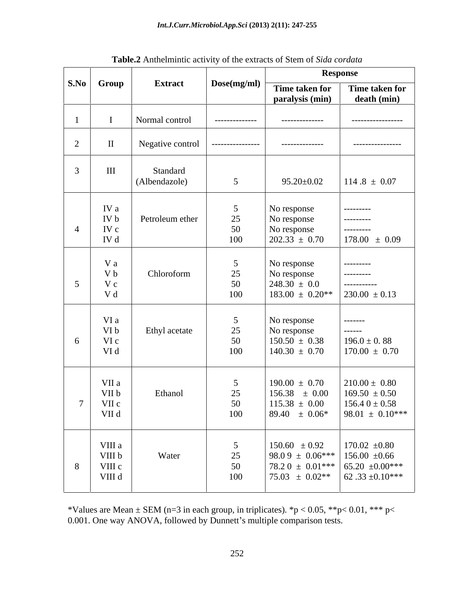|                 |                                  | <b>Extract</b>            | Dose(mg/ml)                                           | <b>Response</b>                                                                                     |                                                                                    |
|-----------------|----------------------------------|---------------------------|-------------------------------------------------------|-----------------------------------------------------------------------------------------------------|------------------------------------------------------------------------------------|
|                 | S.No Group                       |                           |                                                       | Time taken for<br>paralysis (min)                                                                   | Time taken for<br>death (min)                                                      |
|                 |                                  | Normal control            | --------------                                        | --------------                                                                                      | -----------------                                                                  |
|                 | $\mathbf{I}$                     | Negative control          | ----------------                                      | ---------------                                                                                     | -----------------                                                                  |
| $\mathcal{L}$   | $\rm III$                        | Standard<br>(Albendazole) | 5 <sup>5</sup>                                        | $95.20 \pm 0.02$                                                                                    | $114.8 \pm 0.07$                                                                   |
|                 | IV a<br>IV b<br>IV c<br>IV d     | Petroleum ether           | 25<br>50<br>100                                       | No response<br>No response<br>No response<br>$202.33 \pm 0.70$                                      | ---------<br>---------<br>---------<br>$178.00 \pm 0.09$                           |
| $5\overline{)}$ | V a<br>V b<br>V c<br>V d         | Chloroform                | $\overline{5}$<br>25<br>50<br>100                     | No response<br>No response<br>$248.30 \pm 0.0$<br>$183.00 \pm 0.20**$                               | ----------<br>----------<br>------------<br>$230.00 \pm 0.13$                      |
| -6              | VI a<br>VI b<br>VI c<br>VI d     | Ethyl acetate             | $5\overline{)}$<br>25<br>50<br>100                    | No response<br>No response<br>$150.50 \pm 0.38$<br>$140.30 \pm 0.70$                                | -------<br>$- - - - - -$<br>$196.0 \pm 0.88$<br>$170.00 \pm 0.70$                  |
| $7\overline{ }$ | VII a<br>VII b<br>VII c<br>VII d | Ethanol                   | $\overline{5}$<br>25<br>$50^{\circ}$<br>$\cup$<br>100 | $190.00 \pm 0.70$<br>$156.38 \pm 0.00$<br>$115.38 \pm 0.00$<br>$89.40 \pm 0.06^*$                   | $210.00 \pm 0.80$<br>$169.50 \pm 0.50$<br>$156.40 \pm 0.58$<br>$98.01 \pm 0.10***$ |
| 8               | VIII a<br>VIII b<br>VIII c       | Water                     | $\overline{\phantom{0}}$<br>25<br>50<br>100           | $150.60 \pm 0.92$<br>98.0 9 $\pm$ 0.06*** 156.00 $\pm$ 0.66<br>$75.03 \pm 0.02^{**}$ 62.33 ±0.10*** | $170.02 \pm 0.80$<br>$78.20 \pm 0.01***$ 65.20 $\pm 0.00***$                       |

**Table.2** Anthelmintic activity of the extracts of Stem of *Sida cordata*

\*Values are Mean  $\pm$  SEM (n=3 in each group, in triplicates). \*p < 0.05, \*\*p< 0.01, \*\*\* p< 0.001. One way ANOVA, followed by Dunnett's multiple comparison tests.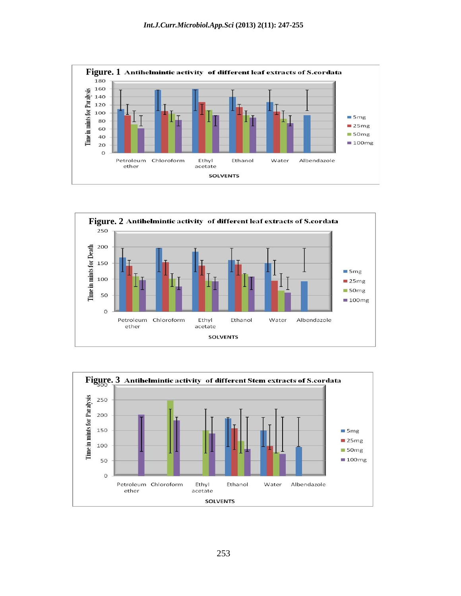





253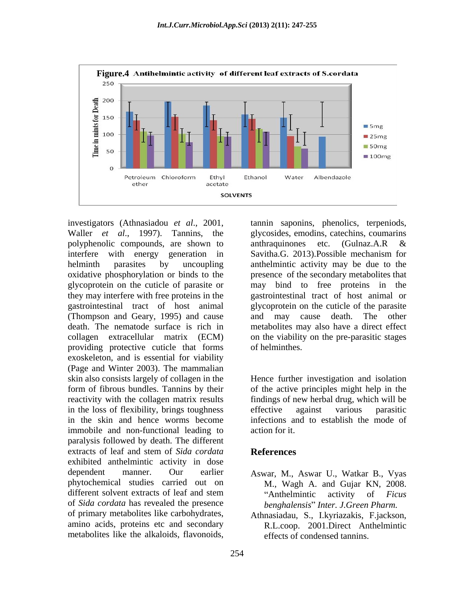

polyphenolic compounds, are shown to anthraquinones etc. (Gulnaz.A.R & interfere with energy generation in Savitha.G. 2013). Possible mechanism for helminth parasites by uncoupling anthelmintic activity may be due to the oxidative phosphorylation or binds to the presence of the secondary metabolites that glycoprotein on the cuticle of parasiteor may bind to free proteins in the they may interfere with free proteins in the gastrointestinal tract of host animal or gastrointestinal tract of host animal glycoprotein on the cuticle of the parasite (Thompson and Geary, 1995) and cause death. The nematode surface is rich in metabolites may also have a direct effect collagen extracellular matrix (ECM) on the viability on the pre-parasitic stages providing protective cuticle that forms exoskeleton, and is essential for viability (Page and Winter 2003). The mammalian skin also consists largely of collagen in the Hence further investigation and isolation form of fibrous bundles. Tannins by their of the active principles might help in the reactivity with the collagen matrix results findings of new herbal drug, which will be in the loss of flexibility, brings toughness effective against various parasitic in the skin and hence worms become immobile and non-functional leading to action for it. paralysis followed by death. The different extracts of leaf and stem of *Sida cordata* exhibited anthelmintic activity in dose dependent manner. Our earlier Aswar, M., Aswar U., Watkar B., Vyas phytochemical studies carried out on M., Wagh A. and Gujar KN, 2008. different solvent extracts of leaf and stem "Anthelmintic activity of *Ficus* of *Sida cordata* has revealed the presence of primary metabolites like carbohydrates, Athnasiadau, S., I.kyriazakis, F.jackson, amino acids, proteins etc and secondary metabolites like the alkaloids, flavonoids, effects of condensed tannins.

investigators (Athnasiadou *et al.*, 2001, tannin saponins, phenolics, terpeniods, Waller *et al.*, 1997). Tannins, the glycosides, emodins, catechins, coumarins tannin saponins, phenolics, terpeniods, glycosides, emodins, catechins, coumarins anthraquinones etc. (Gulnaz.A.R & Savitha.G. 2013).Possible mechanism for cause death. The other of helminthes.

> effective against various parasitic infections and to establish the mode of action for it.

## **References**

- Anthelmintic activity of *Ficus benghalensis Inter. J.Green Pharm.*
- R.L.coop. 2001.Direct Anthelmintic